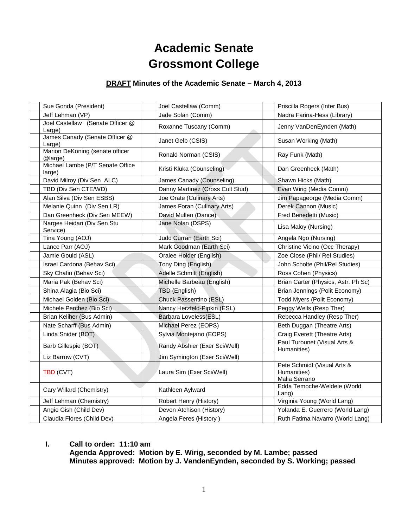# **Academic Senate Grossmont College**

#### **DRAFT Minutes of the Academic Senate – March 4, 2013**

| Sue Gonda (President)                      | Joel Castellaw (Comm)            | Priscilla Rogers (Inter Bus)                                |
|--------------------------------------------|----------------------------------|-------------------------------------------------------------|
| Jeff Lehman (VP)                           | Jade Solan (Comm)                | Nadra Farina-Hess (Library)                                 |
| Joel Castellaw (Senate Officer @           |                                  |                                                             |
| Large)                                     | Roxanne Tuscany (Comm)           | Jenny VanDenEynden (Math)                                   |
| James Canady (Senate Officer @             | Janet Gelb (CSIS)                | Susan Working (Math)                                        |
| Large)                                     |                                  |                                                             |
| Marion DeKoning (senate officer<br>@large) | Ronald Norman (CSIS)             | Ray Funk (Math)                                             |
| Michael Lambe (P/T Senate Office<br>large) | Kristi Kluka (Counseling)        | Dan Greenheck (Math)                                        |
| David Milroy (Div Sen ALC)                 | James Canady (Counseling)        | Shawn Hicks (Math)                                          |
| TBD (Div Sen CTE/WD)                       | Danny Martinez (Cross Cult Stud) | Evan Wirig (Media Comm)                                     |
| Alan Silva (Div Sen ESBS)                  | Joe Orate (Culinary Arts)        | Jim Papageorge (Media Comm)                                 |
| Melanie Quinn (Div Sen LR)                 | James Foran (Culinary Arts)      | Derek Cannon (Music)                                        |
| Dan Greenheck (Div Sen MEEW)               | David Mullen (Dance)             | Fred Benedetti (Music)                                      |
| Narges Heidari (Div Sen Stu<br>Service)    | Jane Nolan (DSPS)                | Lisa Maloy (Nursing)                                        |
| Tina Young (AOJ)                           | Judd Curran (Earth Sci)          | Angela Ngo (Nursing)                                        |
| Lance Parr (AOJ)                           | Mark Goodman (Earth Sci)         | Christine Vicino (Occ Therapy)                              |
| Jamie Gould (ASL)                          | Oralee Holder (English)          | Zoe Close (Phil/ Rel Studies)                               |
| Israel Cardona (Behav Sci)                 | Tony Ding (English)              | John Scholte (Phil/Rel Studies)                             |
| Sky Chafin (Behav Sci)                     | Adelle Schmitt (English)         | Ross Cohen (Physics)                                        |
| Maria Pak (Behav Sci)                      | Michelle Barbeau (English)       | Brian Carter (Physics, Astr. Ph Sc)                         |
| Shina Alagia (Bio Sci)                     | TBD (English)                    | Brian Jennings (Polit Economy)                              |
| Michael Golden (Bio Sci)                   | Chuck Passentino (ESL)           | Todd Myers (Polit Economy)                                  |
| Michele Perchez (Bio Sci)                  | Nancy Herzfeld-Pipkin (ESL)      | Peggy Wells (Resp Ther)                                     |
| Brian Keliher (Bus Admin)                  | Barbara Loveless(ESL)            | Rebecca Handley (Resp Ther)                                 |
| Nate Scharff (Bus Admin)                   | Michael Perez (EOPS)             | Beth Duggan (Theatre Arts)                                  |
| Linda Snider (BOT)                         | Sylvia Montejano (EOPS)          | Craig Everett (Theatre Arts)                                |
| Barb Gillespie (BOT)                       | Randy Abshier (Exer Sci/Well)    | Paul Turounet (Visual Arts &<br>Humanities)                 |
| Liz Barrow (CVT)                           | Jim Symington (Exer Sci/Well)    |                                                             |
| TBD (CVT)                                  | Laura Sim (Exer Sci/Well)        | Pete Schmidt (Visual Arts &<br>Humanities)<br>Malia Serrano |
| Cary Willard (Chemistry)                   | Kathleen Aylward                 | Edda Temoche-Weldele (World<br>Lang)                        |
| Jeff Lehman (Chemistry)                    | Robert Henry (History)           | Virginia Young (World Lang)                                 |
| Angie Gish (Child Dev)                     | Devon Atchison (History)         | Yolanda E. Guerrero (World Lang)                            |
| Claudia Flores (Child Dev)                 | Angela Feres (History)           | Ruth Fatima Navarro (World Lang)                            |

**I. Call to order: 11:10 am Agenda Approved: Motion by E. Wirig, seconded by M. Lambe; passed Minutes approved: Motion by J. VandenEynden, seconded by S. Working; passed**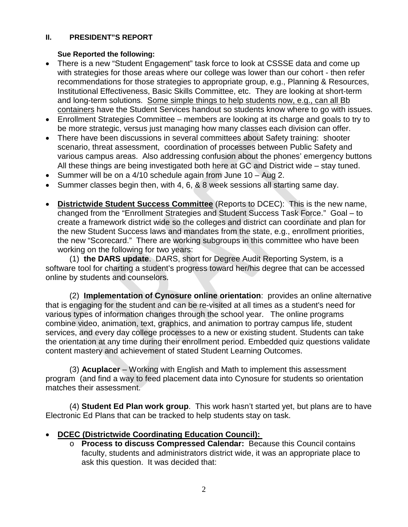#### **II. PRESIDENT"S REPORT**

#### **Sue Reported the following:**

- There is a new "Student Engagement" task force to look at CSSSE data and come up with strategies for those areas where our college was lower than our cohort - then refer recommendations for those strategies to appropriate group, e.g., Planning & Resources, Institutional Effectiveness, Basic Skills Committee, etc. They are looking at short-term and long-term solutions. Some simple things to help students now, e.g., can all Bb containers have the Student Services handout so students know where to go with issues.
- Enrollment Strategies Committee members are looking at its charge and goals to try to be more strategic, versus just managing how many classes each division can offer.
- There have been discussions in several committees about Safety training: shooter scenario, threat assessment, coordination of processes between Public Safety and various campus areas. Also addressing confusion about the phones' emergency buttons All these things are being investigated both here at GC and District wide – stay tuned.
- Summer will be on a 4/10 schedule again from June 10 Aug 2.
- Summer classes begin then, with 4, 6, & 8 week sessions all starting same day.
- **Districtwide Student Success Committee** (Reports to DCEC): This is the new name, changed from the "Enrollment Strategies and Student Success Task Force." Goal – to create a framework district wide so the colleges and district can coordinate and plan for the new Student Success laws and mandates from the state, e.g., enrollment priorities, the new "Scorecard." There are working subgroups in this committee who have been working on the following for two years:

(1) **the DARS update**. DARS, short for Degree Audit Reporting System, is a software tool for charting a student's progress toward her/his degree that can be accessed online by students and counselors.

(2) **Implementation of Cynosure online orientation**: provides an online alternative that is engaging for the student and can be re-visited at all times as a student's need for various types of information changes through the school year. The online programs combine video, animation, text, graphics, and animation to portray campus life, student services, and every day college processes to a new or existing student. Students can take the orientation at any time during their enrollment period. Embedded quiz questions validate content mastery and achievement of stated Student Learning Outcomes.

(3) **Acuplacer** – Working with English and Math to implement this assessment program (and find a way to feed placement data into Cynosure for students so orientation matches their assessment.

(4) **Student Ed Plan work group**. This work hasn't started yet, but plans are to have Electronic Ed Plans that can be tracked to help students stay on task.

- **DCEC (Districtwide Coordinating Education Council):**
	- o **Process to discuss Compressed Calendar:** Because this Council contains faculty, students and administrators district wide, it was an appropriate place to ask this question. It was decided that: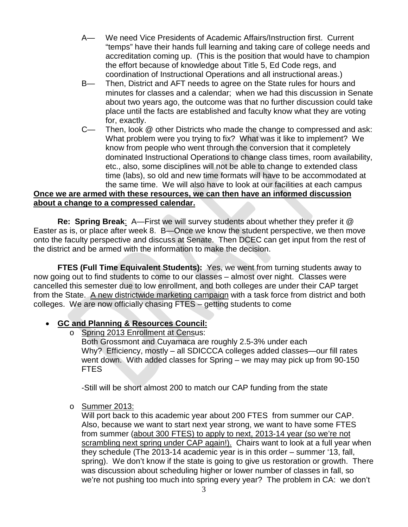- A— We need Vice Presidents of Academic Affairs/Instruction first. Current "temps" have their hands full learning and taking care of college needs and accreditation coming up. (This is the position that would have to champion the effort because of knowledge about Title 5, Ed Code regs, and coordination of Instructional Operations and all instructional areas.)
- B— Then, District and AFT needs to agree on the State rules for hours and minutes for classes and a calendar; when we had this discussion in Senate about two years ago, the outcome was that no further discussion could take place until the facts are established and faculty know what they are voting for, exactly.
- C— Then, look @ other Districts who made the change to compressed and ask: What problem were you trying to fix? What was it like to implement? We know from people who went through the conversion that it completely dominated Instructional Operations to change class times, room availability, etc., also, some disciplines will not be able to change to extended class time (labs), so old and new time formats will have to be accommodated at the same time. We will also have to look at our facilities at each campus

# **Once we are armed with these resources, we can then have an informed discussion about a change to a compressed calendar.**

**Re: Spring Break**: A—First we will survey students about whether they prefer it @ Easter as is, or place after week 8. B—Once we know the student perspective, we then move onto the faculty perspective and discuss at Senate. Then DCEC can get input from the rest of the district and be armed with the information to make the decision.

**FTES (Full Time Equivalent Students):** Yes, we went from turning students away to now going out to find students to come to our classes – almost over night. Classes were cancelled this semester due to low enrollment, and both colleges are under their CAP target from the State. A new districtwide marketing campaign with a task force from district and both colleges. We are now officially chasing FTES – getting students to come

## • **GC and Planning & Resources Council:**

o Spring 2013 Enrollment at Census:

Both Grossmont and Cuyamaca are roughly 2.5-3% under each Why? Efficiency, mostly – all SDICCCA colleges added classes—our fill rates went down. With added classes for Spring – we may may pick up from 90-150 FTES

-Still will be short almost 200 to match our CAP funding from the state

o Summer 2013:

Will port back to this academic year about 200 FTES from summer our CAP. Also, because we want to start next year strong, we want to have some FTES from summer (about 300 FTES) to apply to next, 2013-14 year (so we're not scrambling next spring under CAP again!). Chairs want to look at a full year when they schedule (The 2013-14 academic year is in this order – summer '13, fall, spring). We don't know if the state is going to give us restoration or growth. There was discussion about scheduling higher or lower number of classes in fall, so we're not pushing too much into spring every year? The problem in CA: we don't